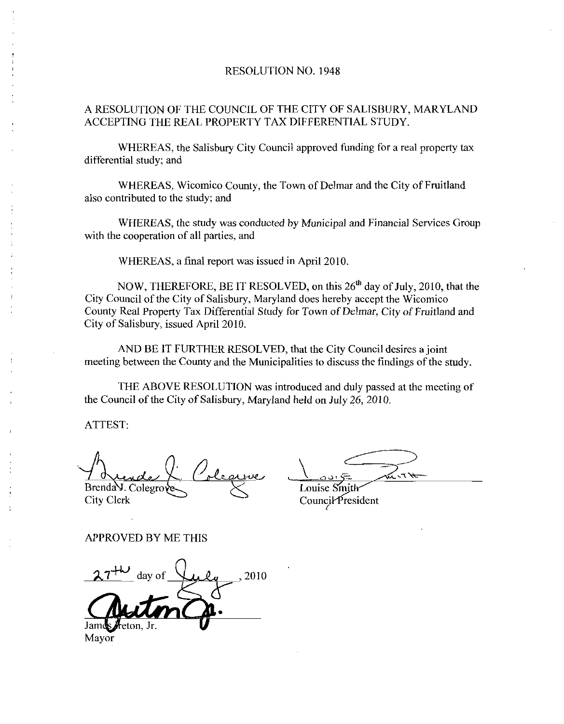## RESOLUTION NO. 1948

## A RESOLUTION OF THE COUNCIL OF THE CITY OF SALISBURY, MARYLAND ACCEPTING THE REAL PROPERTY TAX DIFFERENTIAL STUDY

WHEREAS, the Salisbury City Council approved funding for a real property tax differential study; and

WHEREAS, Wicomico County, the Town of Delmar and the City of Fruitland also contributed to the study; and

WHEREAS, the study was conducted by Municipal and Financial Services Group with the cooperation of all parties, and

WHEREAS, a final report was issued in April 2010.

NOW, THEREFORE, BE IT RESOLVED, on this 26<sup>th</sup> day of July, 2010, that the City Council of the City of Salisbury, Maryland does hereby accept the Wicomico County Real Property Tax Differential Study for Town of Delmar, City of Fruitland and City of Salisbury, issued April 2010. THEREFORE, BE IT RESOLVI<br>of the City of Salisbury, Maryland<br>Property Tax Differential Study fo<br>ury, issued April 2010.<br>BE IT FURTHER RESOLVED, t<br>cen the County and the Municipal<br>ABOVE RESOLUTION was intro<br>f the City of Sal

AND BE IT FURTHER RESOLVED, that the City Council desires a joint meeting between the County and the Municipalities to discuss the findings of the study

THE ABOVE RESOLUTION was introduced and duly passed at the meeting of the Council of the City of Salisbury, Maryland held on July 26, 2010.

ATTEST

Brenda J. Colegro Louise Smith<br>City Clerk Council Presi

Council President

APPROVED BY ME THIS

2010 Mayor